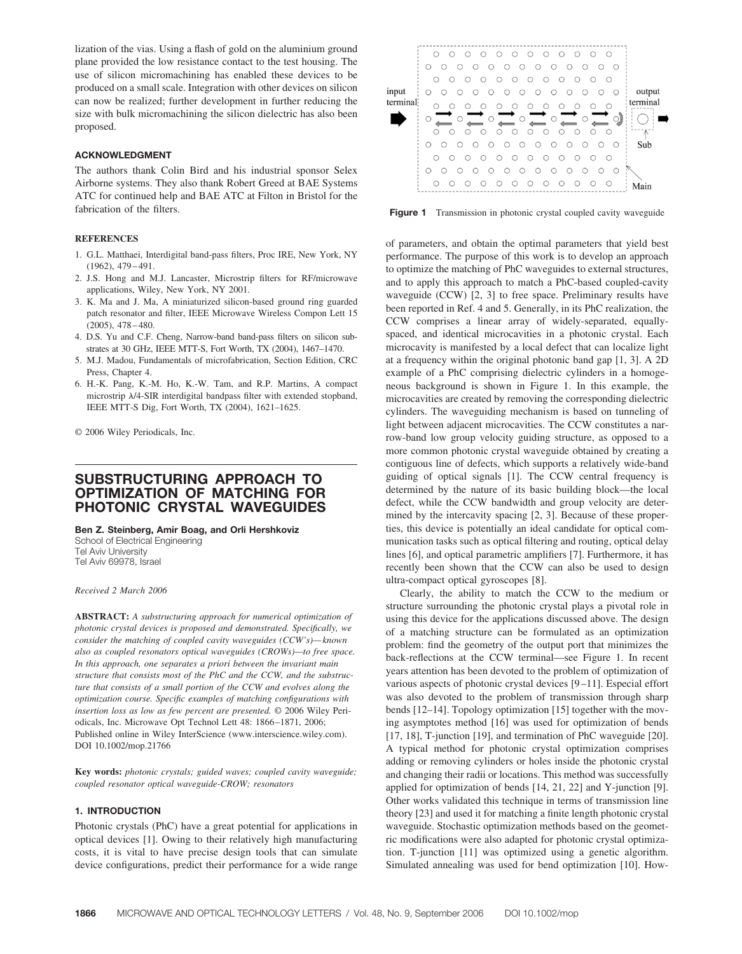lization of the vias. Using a flash of gold on the aluminium ground plane provided the low resistance contact to the test housing. The use of silicon micromachining has enabled these devices to be produced on a small scale. Integration with other devices on silicon can now be realized; further development in further reducing the size with bulk micromachining the silicon dielectric has also been proposed.

## **ACKNOWLEDGMENT**

The authors thank Colin Bird and his industrial sponsor Selex Airborne systems. They also thank Robert Greed at BAE Systems ATC for continued help and BAE ATC at Filton in Bristol for the fabrication of the filters.

# **REFERENCES**

- 1. G.L. Matthaei, Interdigital band-pass filters, Proc IRE, New York, NY (1962), 479 – 491.
- 2. J.S. Hong and M.J. Lancaster, Microstrip filters for RF/microwave applications, Wiley, New York, NY 2001.
- 3. K. Ma and J. Ma, A miniaturized silicon-based ground ring guarded patch resonator and filter, IEEE Microwave Wireless Compon Lett 15  $(2005), 478 - 480.$
- 4. D.S. Yu and C.F. Cheng, Narrow-band band-pass filters on silicon substrates at 30 GHz, IEEE MTT-S, Fort Worth, TX (2004), 1467–1470.
- 5. M.J. Madou, Fundamentals of microfabrication, Section Edition, CRC Press, Chapter 4.
- 6. H.-K. Pang, K.-M. Ho, K.-W. Tam, and R.P. Martins, A compact microstrip  $\lambda$ /4-SIR interdigital bandpass filter with extended stopband, IEEE MTT-S Dig, Fort Worth, TX (2004), 1621–1625.

© 2006 Wiley Periodicals, Inc.

# **SUBSTRUCTURING APPROACH TO OPTIMIZATION OF MATCHING FOR PHOTONIC CRYSTAL WAVEGUIDES**

**Ben Z. Steinberg, Amir Boag, and Orli Hershkoviz**

School of Electrical Engineering Tel Aviv University Tel Aviv 69978, Israel

*Received 2 March 2006*

**ABSTRACT:** *A substructuring approach for numerical optimization of photonic crystal devices is proposed and demonstrated. Specifically, we consider the matching of coupled cavity waveguides (CCW's)— known also as coupled resonators optical waveguides (CROWs)—to free space. In this approach, one separates a priori between the invariant main structure that consists most of the PhC and the CCW, and the substructure that consists of a small portion of the CCW and evolves along the optimization course. Specific examples of matching configurations with insertion loss as low as few percent are presented.* © 2006 Wiley Periodicals, Inc. Microwave Opt Technol Lett 48: 1866 –1871, 2006; Published online in Wiley InterScience (www.interscience.wiley.com). DOI 10.1002/mop.21766

**Key words:** *photonic crystals; guided waves; coupled cavity waveguide; coupled resonator optical waveguide-CROW; resonators*

## **1. INTRODUCTION**

Photonic crystals (PhC) have a great potential for applications in optical devices [1]. Owing to their relatively high manufacturing costs, it is vital to have precise design tools that can simulate device configurations, predict their performance for a wide range



Figure 1 Transmission in photonic crystal coupled cavity waveguide

of parameters, and obtain the optimal parameters that yield best performance. The purpose of this work is to develop an approach to optimize the matching of PhC waveguides to external structures, and to apply this approach to match a PhC-based coupled-cavity waveguide (CCW) [2, 3] to free space. Preliminary results have been reported in Ref. 4 and 5. Generally, in its PhC realization, the CCW comprises a linear array of widely-separated, equallyspaced, and identical microcavities in a photonic crystal. Each microcavity is manifested by a local defect that can localize light at a frequency within the original photonic band gap [1, 3]. A 2D example of a PhC comprising dielectric cylinders in a homogeneous background is shown in Figure 1. In this example, the microcavities are created by removing the corresponding dielectric cylinders. The waveguiding mechanism is based on tunneling of light between adjacent microcavities. The CCW constitutes a narrow-band low group velocity guiding structure, as opposed to a more common photonic crystal waveguide obtained by creating a contiguous line of defects, which supports a relatively wide-band guiding of optical signals [1]. The CCW central frequency is determined by the nature of its basic building block—the local defect, while the CCW bandwidth and group velocity are determined by the intercavity spacing [2, 3]. Because of these properties, this device is potentially an ideal candidate for optical communication tasks such as optical filtering and routing, optical delay lines [6], and optical parametric amplifiers [7]. Furthermore, it has recently been shown that the CCW can also be used to design ultra-compact optical gyroscopes [8].

Clearly, the ability to match the CCW to the medium or structure surrounding the photonic crystal plays a pivotal role in using this device for the applications discussed above. The design of a matching structure can be formulated as an optimization problem: find the geometry of the output port that minimizes the back-reflections at the CCW terminal—see Figure 1. In recent years attention has been devoted to the problem of optimization of various aspects of photonic crystal devices [9-11]. Especial effort was also devoted to the problem of transmission through sharp bends [12–14]. Topology optimization [15] together with the moving asymptotes method [16] was used for optimization of bends [17, 18], T-junction [19], and termination of PhC waveguide [20]. A typical method for photonic crystal optimization comprises adding or removing cylinders or holes inside the photonic crystal and changing their radii or locations. This method was successfully applied for optimization of bends [14, 21, 22] and Y-junction [9]. Other works validated this technique in terms of transmission line theory [23] and used it for matching a finite length photonic crystal waveguide. Stochastic optimization methods based on the geometric modifications were also adapted for photonic crystal optimization. T-junction [11] was optimized using a genetic algorithm. Simulated annealing was used for bend optimization [10]. How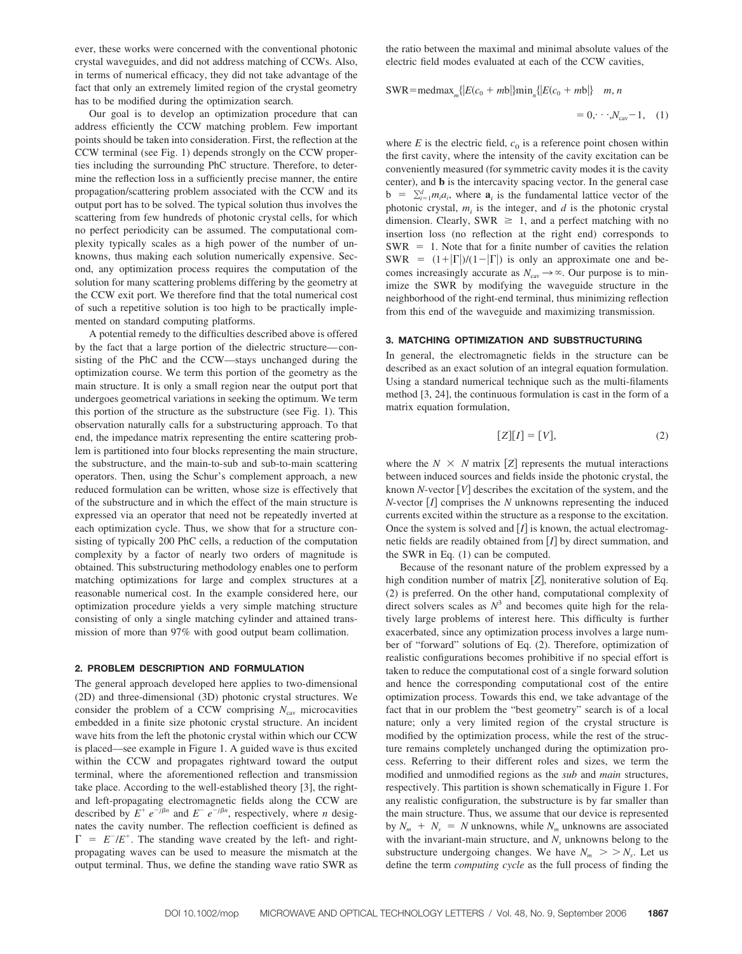ever, these works were concerned with the conventional photonic crystal waveguides, and did not address matching of CCWs. Also, in terms of numerical efficacy, they did not take advantage of the fact that only an extremely limited region of the crystal geometry has to be modified during the optimization search.

Our goal is to develop an optimization procedure that can address efficiently the CCW matching problem. Few important points should be taken into consideration. First, the reflection at the CCW terminal (see Fig. 1) depends strongly on the CCW properties including the surrounding PhC structure. Therefore, to determine the reflection loss in a sufficiently precise manner, the entire propagation/scattering problem associated with the CCW and its output port has to be solved. The typical solution thus involves the scattering from few hundreds of photonic crystal cells, for which no perfect periodicity can be assumed. The computational complexity typically scales as a high power of the number of unknowns, thus making each solution numerically expensive. Second, any optimization process requires the computation of the solution for many scattering problems differing by the geometry at the CCW exit port. We therefore find that the total numerical cost of such a repetitive solution is too high to be practically implemented on standard computing platforms.

A potential remedy to the difficulties described above is offered by the fact that a large portion of the dielectric structure— consisting of the PhC and the CCW—stays unchanged during the optimization course. We term this portion of the geometry as the main structure. It is only a small region near the output port that undergoes geometrical variations in seeking the optimum. We term this portion of the structure as the substructure (see Fig. 1). This observation naturally calls for a substructuring approach. To that end, the impedance matrix representing the entire scattering problem is partitioned into four blocks representing the main structure, the substructure, and the main-to-sub and sub-to-main scattering operators. Then, using the Schur's complement approach, a new reduced formulation can be written, whose size is effectively that of the substructure and in which the effect of the main structure is expressed via an operator that need not be repeatedly inverted at each optimization cycle. Thus, we show that for a structure consisting of typically 200 PhC cells, a reduction of the computation complexity by a factor of nearly two orders of magnitude is obtained. This substructuring methodology enables one to perform matching optimizations for large and complex structures at a reasonable numerical cost. In the example considered here, our optimization procedure yields a very simple matching structure consisting of only a single matching cylinder and attained transmission of more than 97% with good output beam collimation.

### **2. PROBLEM DESCRIPTION AND FORMULATION**

The general approach developed here applies to two-dimensional (2D) and three-dimensional (3D) photonic crystal structures. We consider the problem of a CCW comprising  $N_{\text{cav}}$  microcavities embedded in a finite size photonic crystal structure. An incident wave hits from the left the photonic crystal within which our CCW is placed—see example in Figure 1. A guided wave is thus excited within the CCW and propagates rightward toward the output terminal, where the aforementioned reflection and transmission take place. According to the well-established theory [3], the rightand left-propagating electromagnetic fields along the CCW are described by  $E^+ e^{-j\beta n}$  and  $E^- e^{-j\beta n}$ , respectively, where *n* designates the cavity number. The reflection coefficient is defined as  $\Gamma = E^{-}/E^{+}$ . The standing wave created by the left- and rightpropagating waves can be used to measure the mismatch at the output terminal. Thus, we define the standing wave ratio SWR as the ratio between the maximal and minimal absolute values of the electric field modes evaluated at each of the CCW cavities,

 $SWR = \text{medmax}_{m} \{ |E(c_0 + mb)| \} \text{min}_{n} \{ |E(c_0 + mb)| \}$  *m, n* 

$$
= 0, \cdots, N_{\rm cav} - 1, \quad (1)
$$

where  $E$  is the electric field,  $c_0$  is a reference point chosen within the first cavity, where the intensity of the cavity excitation can be conveniently measured (for symmetric cavity modes it is the cavity center), and **b** is the intercavity spacing vector. In the general case  $\mathbf{b} = \sum_{i=1}^{d} m_i a_i$ , where  $\mathbf{a}_i$  is the fundamental lattice vector of the photonic crystal,  $m_i$  is the integer, and  $d$  is the photonic crystal dimension. Clearly, SWR  $\geq 1$ , and a perfect matching with no insertion loss (no reflection at the right end) corresponds to  $SWR = 1$ . Note that for a finite number of cavities the relation SWR =  $(1+|\Gamma|)/(1-|\Gamma|)$  is only an approximate one and becomes increasingly accurate as  $N_{\rm cav} \rightarrow \infty$ . Our purpose is to minimize the SWR by modifying the waveguide structure in the neighborhood of the right-end terminal, thus minimizing reflection from this end of the waveguide and maximizing transmission.

# **3. MATCHING OPTIMIZATION AND SUBSTRUCTURING**

In general, the electromagnetic fields in the structure can be described as an exact solution of an integral equation formulation. Using a standard numerical technique such as the multi-filaments method [3, 24], the continuous formulation is cast in the form of a matrix equation formulation,

$$
[Z][I] = [V],\tag{2}
$$

where the  $N \times N$  matrix [*Z*] represents the mutual interactions between induced sources and fields inside the photonic crystal, the known *N*-vector  $[V]$  describes the excitation of the system, and the  $N$ -vector  $[I]$  comprises the  $N$  unknowns representing the induced currents excited within the structure as a response to the excitation. Once the system is solved and  $[I]$  is known, the actual electromagnetic fields are readily obtained from [*I*] by direct summation, and the SWR in Eq. (1) can be computed.

Because of the resonant nature of the problem expressed by a high condition number of matrix [Z], noniterative solution of Eq. (2) is preferred. On the other hand, computational complexity of direct solvers scales as  $N^3$  and becomes quite high for the relatively large problems of interest here. This difficulty is further exacerbated, since any optimization process involves a large number of "forward" solutions of Eq. (2). Therefore, optimization of realistic configurations becomes prohibitive if no special effort is taken to reduce the computational cost of a single forward solution and hence the corresponding computational cost of the entire optimization process. Towards this end, we take advantage of the fact that in our problem the "best geometry" search is of a local nature; only a very limited region of the crystal structure is modified by the optimization process, while the rest of the structure remains completely unchanged during the optimization process. Referring to their different roles and sizes, we term the modified and unmodified regions as the *sub* and *main* structures, respectively. This partition is shown schematically in Figure 1. For any realistic configuration, the substructure is by far smaller than the main structure. Thus, we assume that our device is represented by  $N_m + N_s = N$  unknowns, while  $N_m$  unknowns are associated with the invariant-main structure, and  $N_s$  unknowns belong to the substructure undergoing changes. We have  $N_m$   $>$   $>$   $N_s$ . Let us define the term *computing cycle* as the full process of finding the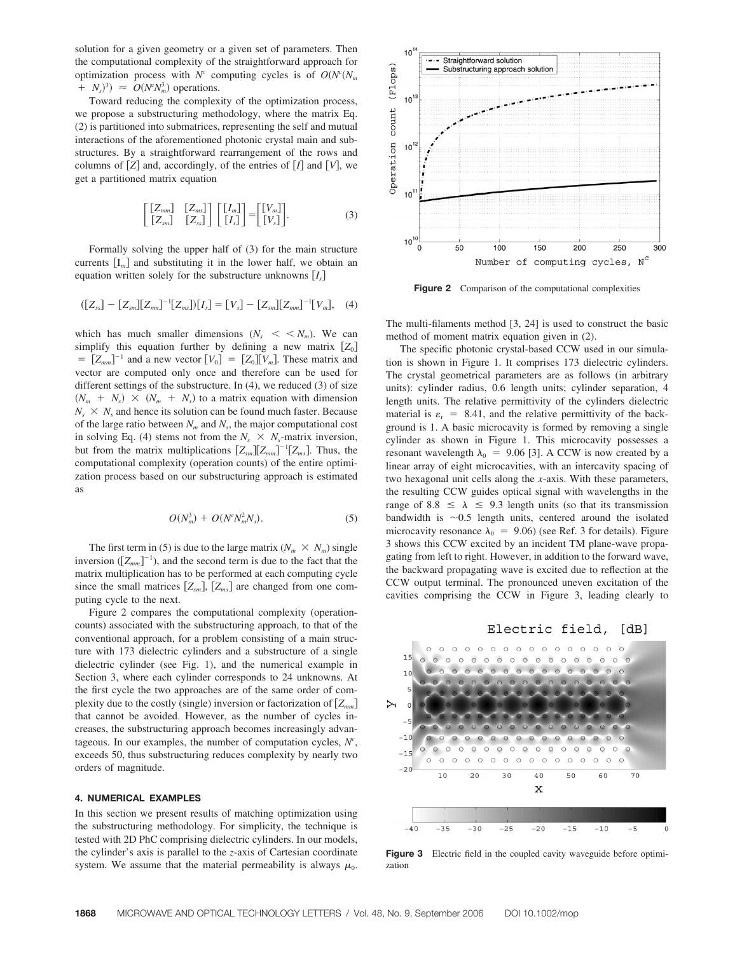solution for a given geometry or a given set of parameters. Then the computational complexity of the straightforward approach for optimization process with  $N^c$  computing cycles is of  $O(N^c(N_m))$  $+N_s$ <sup>3</sup>)  $\approx$  *O*(*N*<sup>c</sup>*N*<sub>*m*</sub><sup>3</sup>) operations.

Toward reducing the complexity of the optimization process, we propose a substructuring methodology, where the matrix Eq. (2) is partitioned into submatrices, representing the self and mutual interactions of the aforementioned photonic crystal main and substructures. By a straightforward rearrangement of the rows and columns of  $[Z]$  and, accordingly, of the entries of  $[I]$  and  $[V]$ , we get a partitioned matrix equation

$$
\begin{bmatrix}\n[Z_{mm}] & [Z_{ms}]\n\end{bmatrix}\n\begin{bmatrix}\n[I_m]\n\end{bmatrix} =\n\begin{bmatrix}\n[V_m]\n\end{bmatrix}.
$$
\n(3)

Formally solving the upper half of (3) for the main structure currents  $[I_m]$  and substituting it in the lower half, we obtain an equation written solely for the substructure unknowns  $[I_s]$ 

$$
([Z_{ss}] - [Z_{sm}][Z_{nm}]^{-1}[Z_{ms}])[I_s] = [V_s] - [Z_{sm}][Z_{mm}]^{-1}[V_m], \quad (4)
$$

which has much smaller dimensions  $(N_s \, \langle \, \langle N_m \rangle \, \, \text{We can})$ simplify this equation further by defining a new matrix  $[Z_0]$  $= [Z_{mm}]^{-1}$  and a new vector  $[V_0] = [Z_0][V_m]$ . These matrix and vector are computed only once and therefore can be used for different settings of the substructure. In (4), we reduced (3) of size  $(N_m + N_s) \times (N_m + N_s)$  to a matrix equation with dimension  $N_s \times N_s$  and hence its solution can be found much faster. Because of the large ratio between  $N_m$  and  $N_s$ , the major computational cost in solving Eq. (4) stems not from the  $N_s \times N_s$ -matrix inversion, but from the matrix multiplications  $[Z_{sm}][Z_{mm}]^{-1}[Z_{ms}]$ . Thus, the computational complexity (operation counts) of the entire optimization process based on our substructuring approach is estimated as

$$
O(N_m^3) + O(N^c N_m^2 N_s). \tag{5}
$$

The first term in (5) is due to the large matrix  $(N_m \times N_m)$  single inversion  $([Z_{mm}]^{-1})$ , and the second term is due to the fact that the matrix multiplication has to be performed at each computing cycle since the small matrices  $[Z_{sm}]$ ,  $[Z_{ms}]$  are changed from one computing cycle to the next.

Figure 2 compares the computational complexity (operationcounts) associated with the substructuring approach, to that of the conventional approach, for a problem consisting of a main structure with 173 dielectric cylinders and a substructure of a single dielectric cylinder (see Fig. 1), and the numerical example in Section 3, where each cylinder corresponds to 24 unknowns. At the first cycle the two approaches are of the same order of complexity due to the costly (single) inversion or factorization of  $[Z_{mn}]$ that cannot be avoided. However, as the number of cycles increases, the substructuring approach becomes increasingly advantageous. In our examples, the number of computation cycles,  $N^c$ , exceeds 50, thus substructuring reduces complexity by nearly two orders of magnitude.

# **4. NUMERICAL EXAMPLES**

In this section we present results of matching optimization using the substructuring methodology. For simplicity, the technique is tested with 2D PhC comprising dielectric cylinders. In our models, the cylinder's axis is parallel to the *z*-axis of Cartesian coordinate system. We assume that the material permeability is always  $\mu_0$ .



Figure 2 Comparison of the computational complexities

The multi-filaments method [3, 24] is used to construct the basic method of moment matrix equation given in (2).

The specific photonic crystal-based CCW used in our simulation is shown in Figure 1. It comprises 173 dielectric cylinders. The crystal geometrical parameters are as follows (in arbitrary units): cylinder radius, 0.6 length units; cylinder separation, 4 length units. The relative permittivity of the cylinders dielectric material is  $\varepsilon_r = 8.41$ , and the relative permittivity of the background is 1. A basic microcavity is formed by removing a single cylinder as shown in Figure 1. This microcavity possesses a resonant wavelength  $\lambda_0$  = 9.06 [3]. A CCW is now created by a linear array of eight microcavities, with an intercavity spacing of two hexagonal unit cells along the *x*-axis. With these parameters, the resulting CCW guides optical signal with wavelengths in the range of  $8.8 \le \lambda \le 9.3$  length units (so that its transmission bandwidth is  $\sim 0.5$  length units, centered around the isolated microcavity resonance  $\lambda_0 = 9.06$ ) (see Ref. 3 for details). Figure 3 shows this CCW excited by an incident TM plane-wave propagating from left to right. However, in addition to the forward wave, the backward propagating wave is excited due to reflection at the CCW output terminal. The pronounced uneven excitation of the cavities comprising the CCW in Figure 3, leading clearly to

#### Electric field, [dB]



**Figure 3** Electric field in the coupled cavity waveguide before optimization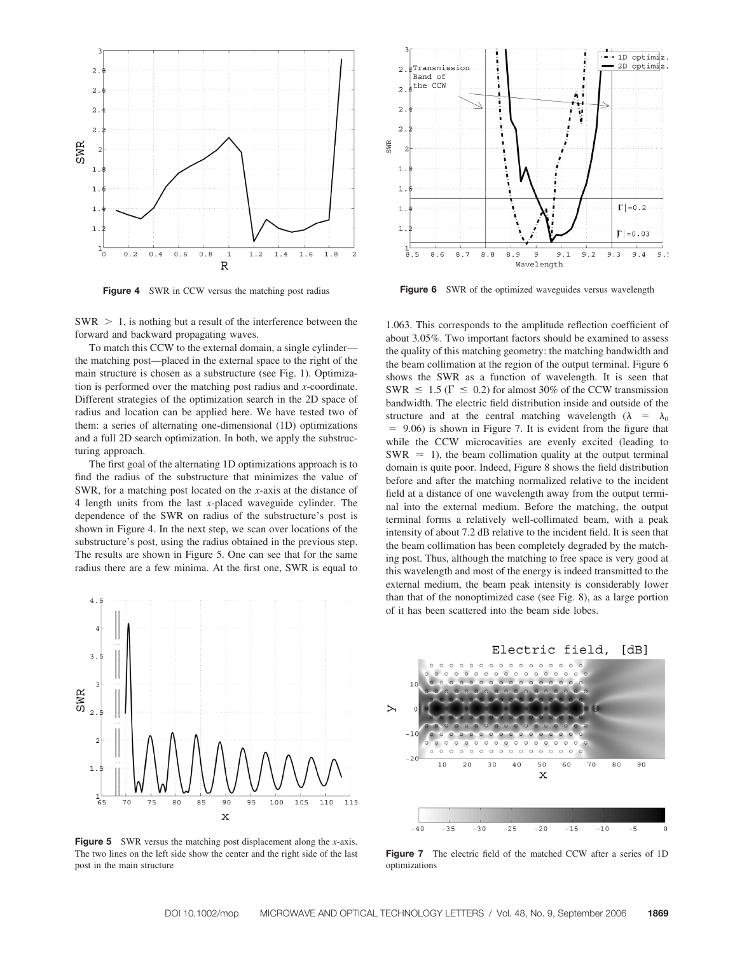

**Figure 4** SWR in CCW versus the matching post radius



To match this CCW to the external domain, a single cylinder the matching post—placed in the external space to the right of the main structure is chosen as a substructure (see Fig. 1). Optimization is performed over the matching post radius and *x*-coordinate. Different strategies of the optimization search in the 2D space of radius and location can be applied here. We have tested two of them: a series of alternating one-dimensional (1D) optimizations and a full 2D search optimization. In both, we apply the substructuring approach.

The first goal of the alternating 1D optimizations approach is to find the radius of the substructure that minimizes the value of SWR, for a matching post located on the *x*-axis at the distance of 4 length units from the last *x*-placed waveguide cylinder. The dependence of the SWR on radius of the substructure's post is shown in Figure 4. In the next step, we scan over locations of the substructure's post, using the radius obtained in the previous step. The results are shown in Figure 5. One can see that for the same radius there are a few minima. At the first one, SWR is equal to



**Figure 5** SWR versus the matching post displacement along the *x*-axis. The two lines on the left side show the center and the right side of the last post in the main structure



**Figure 6** SWR of the optimized waveguides versus wavelength

1.063. This corresponds to the amplitude reflection coefficient of about 3.05%. Two important factors should be examined to assess the quality of this matching geometry: the matching bandwidth and the beam collimation at the region of the output terminal. Figure 6 shows the SWR as a function of wavelength. It is seen that SWR  $\leq 1.5$  ( $\Gamma \leq 0.2$ ) for almost 30% of the CCW transmission bandwidth. The electric field distribution inside and outside of the structure and at the central matching wavelength ( $\lambda = \lambda_0$ ) 9.06) is shown in Figure 7. It is evident from the figure that while the CCW microcavities are evenly excited (leading to SWR  $\approx$  1), the beam collimation quality at the output terminal domain is quite poor. Indeed, Figure 8 shows the field distribution before and after the matching normalized relative to the incident field at a distance of one wavelength away from the output terminal into the external medium. Before the matching, the output terminal forms a relatively well-collimated beam, with a peak intensity of about 7.2 dB relative to the incident field. It is seen that the beam collimation has been completely degraded by the matching post. Thus, although the matching to free space is very good at this wavelength and most of the energy is indeed transmitted to the external medium, the beam peak intensity is considerably lower than that of the nonoptimized case (see Fig. 8), as a large portion of it has been scattered into the beam side lobes.



**Figure 7** The electric field of the matched CCW after a series of 1D optimizations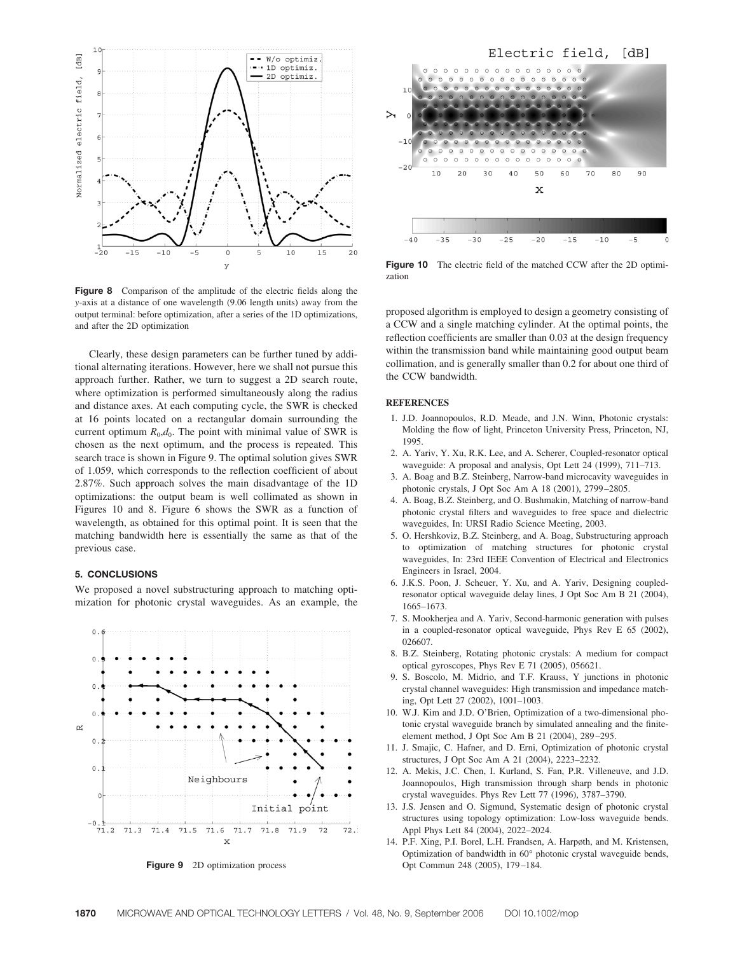

**Figure 8** Comparison of the amplitude of the electric fields along the *y*-axis at a distance of one wavelength (9.06 length units) away from the output terminal: before optimization, after a series of the 1D optimizations, and after the 2D optimization

Clearly, these design parameters can be further tuned by additional alternating iterations. However, here we shall not pursue this approach further. Rather, we turn to suggest a 2D search route, where optimization is performed simultaneously along the radius and distance axes. At each computing cycle, the SWR is checked at 16 points located on a rectangular domain surrounding the current optimum  $R_0$ , $d_0$ . The point with minimal value of SWR is chosen as the next optimum, and the process is repeated. This search trace is shown in Figure 9. The optimal solution gives SWR of 1.059, which corresponds to the reflection coefficient of about 2.87%. Such approach solves the main disadvantage of the 1D optimizations: the output beam is well collimated as shown in Figures 10 and 8. Figure 6 shows the SWR as a function of wavelength, as obtained for this optimal point. It is seen that the matching bandwidth here is essentially the same as that of the previous case.

# **5. CONCLUSIONS**

We proposed a novel substructuring approach to matching optimization for photonic crystal waveguides. As an example, the



**Figure 9** 2D optimization process



**Figure 10** The electric field of the matched CCW after the 2D optimization

proposed algorithm is employed to design a geometry consisting of a CCW and a single matching cylinder. At the optimal points, the reflection coefficients are smaller than 0.03 at the design frequency within the transmission band while maintaining good output beam collimation, and is generally smaller than 0.2 for about one third of the CCW bandwidth.

# **REFERENCES**

- 1. J.D. Joannopoulos, R.D. Meade, and J.N. Winn, Photonic crystals: Molding the flow of light, Princeton University Press, Princeton, NJ, 1995.
- 2. A. Yariv, Y. Xu, R.K. Lee, and A. Scherer, Coupled-resonator optical waveguide: A proposal and analysis, Opt Lett 24 (1999), 711–713.
- 3. A. Boag and B.Z. Steinberg, Narrow-band microcavity waveguides in photonic crystals, J Opt Soc Am A 18 (2001), 2799 –2805.
- 4. A. Boag, B.Z. Steinberg, and O. Bushmakin, Matching of narrow-band photonic crystal filters and waveguides to free space and dielectric waveguides, In: URSI Radio Science Meeting, 2003.
- 5. O. Hershkoviz, B.Z. Steinberg, and A. Boag, Substructuring approach to optimization of matching structures for photonic crystal waveguides, In: 23rd IEEE Convention of Electrical and Electronics Engineers in Israel, 2004.
- 6. J.K.S. Poon, J. Scheuer, Y. Xu, and A. Yariv, Designing coupledresonator optical waveguide delay lines, J Opt Soc Am B 21 (2004), 1665–1673.
- 7. S. Mookherjea and A. Yariv, Second-harmonic generation with pulses in a coupled-resonator optical waveguide, Phys Rev E 65 (2002), 026607.
- 8. B.Z. Steinberg, Rotating photonic crystals: A medium for compact optical gyroscopes, Phys Rev E 71 (2005), 056621.
- 9. S. Boscolo, M. Midrio, and T.F. Krauss, Y junctions in photonic crystal channel waveguides: High transmission and impedance matching, Opt Lett 27 (2002), 1001–1003.
- 10. W.J. Kim and J.D. O'Brien, Optimization of a two-dimensional photonic crystal waveguide branch by simulated annealing and the finiteelement method, J Opt Soc Am B 21 (2004), 289 –295.
- 11. J. Smajic, C. Hafner, and D. Erni, Optimization of photonic crystal structures, J Opt Soc Am A 21 (2004), 2223–2232.
- 12. A. Mekis, J.C. Chen, I. Kurland, S. Fan, P.R. Villeneuve, and J.D. Joannopoulos, High transmission through sharp bends in photonic crystal waveguides. Phys Rev Lett 77 (1996), 3787–3790.
- 13. J.S. Jensen and O. Sigmund, Systematic design of photonic crystal structures using topology optimization: Low-loss waveguide bends. Appl Phys Lett 84 (2004), 2022–2024.
- 14. P.F. Xing, P.I. Borel, L.H. Frandsen, A. Harpøth, and M. Kristensen, Optimization of bandwidth in 60° photonic crystal waveguide bends, Opt Commun 248 (2005), 179 –184.